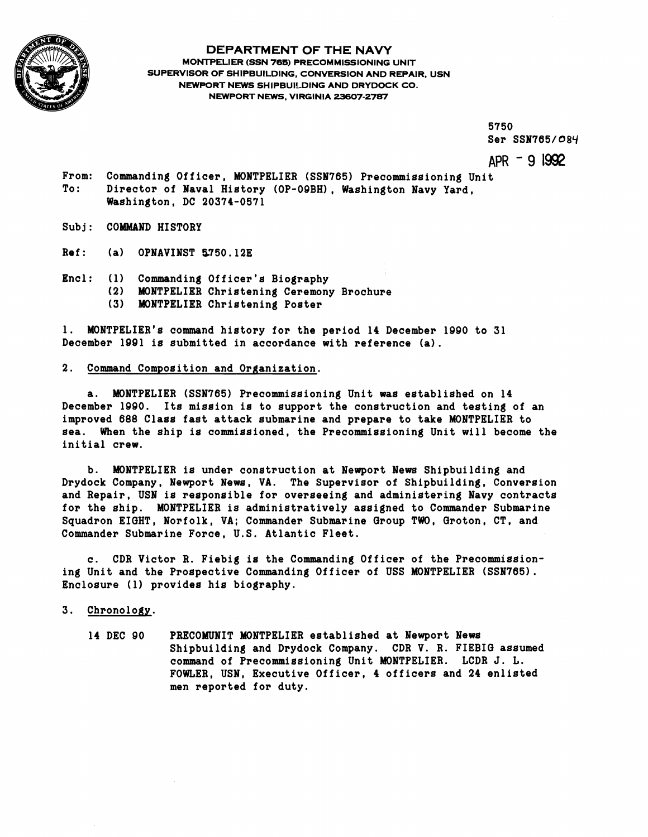

## **DEPARTMENT OF THE NAVY**

**MONTPELIER (SSN 765) PRECOMMISSIONING UNIT SUPERVISOR OF SHIPBUILDING, CONVERSION AND REPAIR, USN NEWPORT NEWS SHIPBUILDING AND DRYDOCK CO. NEWPORT NEWS, VIRGINIA 23607-2787** 

> **5750 Ser SSN765/ OSY**

**APR** ' **9 1992** 

**From: Commanding Officer, MONTPELIER (SSN765) Precommissioning Unit To: Director of Naval History (OP-OOBH), Washington Navy Yard, Washington, DC 20374-0571** 

**Subj: COMMAND HISTORY** 

**Ref** : **(a) OPNAVINST 5750.12E** 

- **Encl: (1) Commanding Officer's Biography** 
	- **(2) MONTPELIER Christening Ceremony Brochure** 
		- **(3) MONTPELIER Christening Poster**

**1. MONTPELIER'S command history for the period 14 December 1990 to 31 December 1001 is submitted in accordance with reference (a).** 

## **2. Command Composition and Organization.**

**a. MONTPELIER (SSN765) Precommissioning Unit was established on 14 December 1990. Its mission is to support the construction and testing of an improved 688 Class fast attack submarine and prepare to take MONTPELIER to sea. When the ship is commissioned, the Precommissioning Unit will become the initial crew.** 

**b. MONTPELIER is under construction at Newport News Shipbuilding and Drydock Company, Newport News, VA. The Supervisor of Shipbuilding, Conversion and Repair, USN is responsible for overseeing and administering Navy contracts for the ship. MONTPELIER is administratively assigned to Commander Submarine Squadron EIGHT, Norfolk, VA; Commander Submarine Group TWO, Groton, CT, and Commander Submarine Force, U.S. Atlantic Fleet.** 

**c. CDR Victor R. Fiebig is the Commanding Officer of the Precommissioning Unit and the Prospective Commanding Officer of USS MONTPELIER (SSN765). Enclosure (1) provides his biography.** 

## **3. Chronology.**

**14 DEC 00 PRECOMUNIT MONTPELIER established at Newport News Shipbuilding and Drydock Company. CDR V. R. FIEBIG assumed command of Precommissioning Unit MONTPELIER. LCDR J. L. FOWLER, USN, Executive Officer, 4 officers and 24 enlisted men reported for duty.**